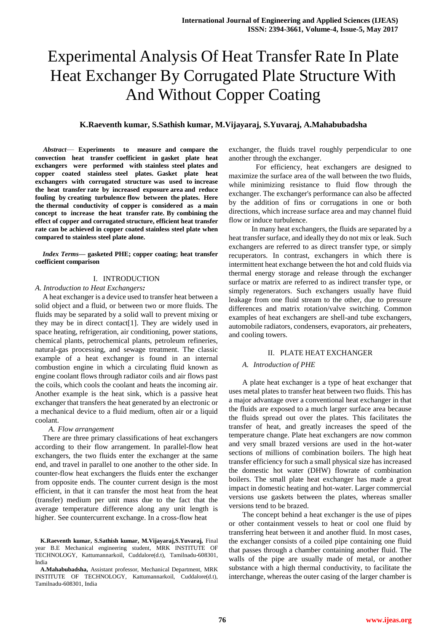# Experimental Analysis Of Heat Transfer Rate In Plate Heat Exchanger By Corrugated Plate Structure With And Without Copper Coating

## **K.Raeventh kumar, S.Sathish kumar, M.Vijayaraj, S.Yuvaraj, A.Mahabubadsha**

*Abstract*— **Experiments to measure and compare the convection heat transfer coefficient in gasket plate heat exchangers were performed with stainless steel plates and copper coated stainless steel plates. Gasket plate heat exchangers with corrugated structure was used to increase the heat transfer rate by increased exposure area and reduce fouling by creating turbulence flow between the plates. Here the thermal conductivity of copper is considered as a main concept to increase the heat transfer rate. By combining the effect of copper and corrugated structure, efficient heat transfer rate can be achieved in copper coated stainless steel plate when compared to stainless steel plate alone.**

*Index Terms***— gasketed PHE; copper coating; heat transfer coefficient comparison**

## I. INTRODUCTION

#### *A. Introduction to Heat Exchangers:*

A heat exchanger is a device used to transfer heat between a solid object and a fluid, or between two or more fluids. The fluids may be separated by a solid wall to prevent mixing or they may be in direct contact[1]. They are widely used in space heating, refrigeration, air conditioning, power stations, chemical plants, petrochemical plants, petroleum refineries, natural-gas processing, and sewage treatment. The classic example of a heat exchanger is found in an internal combustion engine in which a circulating fluid known as engine coolant flows through radiator coils and air flows past the coils, which cools the coolant and heats the incoming air. Another example is the heat sink, which is a passive heat exchanger that transfers the heat generated by an electronic or a mechanical device to a fluid medium, often air or a liquid coolant.

#### *A. Flow arrangement*

There are three primary classifications of heat exchangers according to their flow arrangement. In parallel-flow heat exchangers, the two fluids enter the exchanger at the same end, and travel in parallel to one another to the other side. In counter-flow heat exchangers the fluids enter the exchanger from opposite ends. The counter current design is the most efficient, in that it can transfer the most heat from the heat (transfer) medium per unit mass due to the fact that the average temperature difference along any unit length is higher. See countercurrent exchange. In a cross-flow heat

exchanger, the fluids travel roughly perpendicular to one another through the exchanger.

For efficiency, heat exchangers are designed to maximize the surface area of the wall between the two fluids, while minimizing resistance to fluid flow through the exchanger. The exchanger's performance can also be affected by the addition of fins or corrugations in one or both directions, which increase surface area and may channel fluid flow or induce turbulence.

 In many heat exchangers, the fluids are separated by a heat transfer surface, and ideally they do not mix or leak. Such exchangers are referred to as direct transfer type, or simply recuperators. In contrast, exchangers in which there is intermittent heat exchange between the hot and cold fluids via thermal energy storage and release through the exchanger surface or matrix are referred to as indirect transfer type, or simply regenerators. Such exchangers usually have fluid leakage from one fluid stream to the other, due to pressure differences and matrix rotation/valve switching. Common examples of heat exchangers are shell-and tube exchangers, automobile radiators, condensers, evaporators, air preheaters, and cooling towers.

# II. PLATE HEAT EXCHANGER

### *A. Introduction of PHE*

A plate heat exchanger is a type of heat exchanger that uses metal plates to transfer heat between two fluids. This has a major advantage over a conventional heat exchanger in that the fluids are exposed to a much larger surface area because the fluids spread out over the plates. This facilitates the transfer of heat, and greatly increases the speed of the temperature change. Plate heat exchangers are now common and very small brazed versions are used in the hot-water sections of millions of combination boilers. The high heat transfer efficiency for such a small physical size has increased the domestic hot water (DHW) flowrate of combination boilers. The small plate heat exchanger has made a great impact in domestic heating and hot-water. Larger commercial versions use gaskets between the plates, whereas smaller versions tend to be brazed.

The concept behind a heat exchanger is the use of pipes or other containment vessels to heat or cool one fluid by transferring heat between it and another fluid. In most cases, the exchanger consists of a coiled pipe containing one fluid that passes through a chamber containing another fluid. The walls of the pipe are usually made of metal, or another substance with a high thermal conductivity, to facilitate the interchange, whereas the outer casing of the larger chamber is

**K.Raeventh kumar, S.Sathish kumar, M.Vijayaraj,S.Yuvaraj,** Final year B.E Mechanical engineering student, MRK INSTITUTE OF TECHNOLOGY, Kattumannarkoil, Cuddalore(d.t), Tamilnadu-608301, India

**A.Mahabubadsha,** Assistant professor, Mechanical Department, MRK INSTITUTE OF TECHNOLOGY, Kattumannarkoil, Cuddalore(d.t), Tamilnadu-608301, India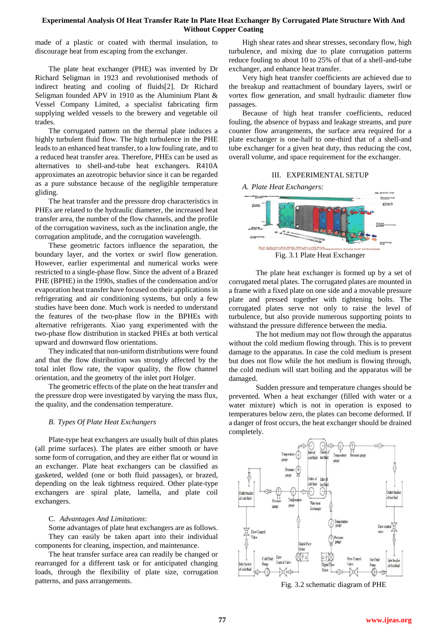## **Experimental Analysis Of Heat Transfer Rate In Plate Heat Exchanger By Corrugated Plate Structure With And Without Copper Coating**

made of a plastic or coated with thermal insulation, to discourage heat from escaping from the exchanger.

The plate heat exchanger (PHE) was invented by Dr Richard Seligman in 1923 and revolutionised methods of indirect heating and cooling of fluids[2]. Dr Richard Seligman founded APV in 1910 as the Aluminium Plant & Vessel Company Limited, a specialist fabricating firm supplying welded vessels to the brewery and vegetable oil trades.

The corrugated pattern on the thermal plate induces a highly turbulent fluid flow. The high turbulence in the PHE leads to an enhanced heat transfer, to a low fouling rate, and to a reduced heat transfer area. Therefore, PHEs can be used as alternatives to shell-and-tube heat exchangers. R410A approximates an azeotropic behavior since it can be regarded as a pure substance because of the negligible temperature gliding.

The heat transfer and the pressure drop characteristics in PHEs are related to the hydraulic diameter, the increased heat transfer area, the number of the flow channels, and the profile of the corrugation waviness, such as the inclination angle, the corrugation amplitude, and the corrugation wavelength.

These geometric factors influence the separation, the boundary layer, and the vortex or swirl flow generation. However, earlier experimental and numerical works were restricted to a single-phase flow. Since the advent of a Brazed PHE (BPHE) in the 1990s, studies of the condensation and/or evaporation heat transfer have focused on their applications in refrigerating and air conditioning systems, but only a few studies have been done. Much work is needed to understand the features of the two-phase flow in the BPHEs with alternative refrigerants. Xiao yang experimented with the two-phase flow distribution in stacked PHEs at both vertical upward and downward flow orientations.

They indicated that non-uniform distributions were found and that the flow distribution was strongly affected by the total inlet flow rate, the vapor quality, the flow channel orientation, and the geometry of the inlet port Holger.

The geometric effects of the plate on the heat transfer and the pressure drop were investigated by varying the mass flux, the quality, and the condensation temperature.

## *B. Types Of Plate Heat Exchangers*

Plate-type heat exchangers are usually built of thin plates (all prime surfaces). The plates are either smooth or have some form of corrugation, and they are either flat or wound in an exchanger. Plate heat exchangers can be classified as gasketed, welded (one or both fluid passages), or brazed, depending on the leak tightness required. Other plate-type exchangers are spiral plate, lamella, and plate coil exchangers.

#### C. *Advantages And Limitations*:

Some advantages of plate heat exchangers are as follows. They can easily be taken apart into their individual components for cleaning, inspection, and maintenance.

The heat transfer surface area can readily be changed or rearranged for a different task or for anticipated changing loads, through the flexibility of plate size, corrugation patterns, and pass arrangements.

High shear rates and shear stresses, secondary flow, high turbulence, and mixing due to plate corrugation patterns reduce fouling to about 10 to 25% of that of a shell-and-tube exchanger, and enhance heat transfer.

Very high heat transfer coefficients are achieved due to the breakup and reattachment of boundary layers, swirl or vortex flow generation, and small hydraulic diameter flow passages.

Because of high heat transfer coefficients, reduced fouling, the absence of bypass and leakage streams, and pure counter flow arrangements, the surface area required for a plate exchanger is one-half to one-third that of a shell-and tube exchanger for a given heat duty, thus reducing the cost, overall volume, and space requirement for the exchanger.

### III. EXPERIMENTAL SETUP



The plate heat exchanger is formed up by a set of corrugated metal plates. The corrugated plates are mounted in a frame with a fixed plate on one side and a movable pressure plate and pressed together with tightening bolts. The corrugated plates serve not only to raise the level of turbulence, but also provide numerous supporting points to withstand the pressure difference between the media.

The hot medium may not flow through the apparatus without the cold medium flowing through. This is to prevent damage to the apparatus. In case the cold medium is present but does not flow while the hot medium is flowing through, the cold medium will start boiling and the apparatus will be damaged.

Sudden pressure and temperature changes should be prevented. When a heat exchanger (filled with water or a water mixture) which is not in operation is exposed to temperatures below zero, the plates can become deformed. If a danger of frost occurs, the heat exchanger should be drained completely.



Fig. 3.2 schematic diagram of PHE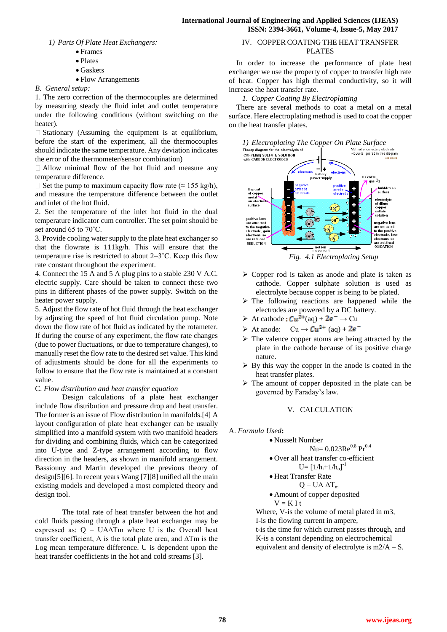*1) Parts Of Plate Heat Exchangers:*

- Frames
- Plates
- Gaskets
- Flow Arrangements

## *B. General setup:*

1. The zero correction of the thermocouples are determined by measuring steady the fluid inlet and outlet temperature under the following conditions (without switching on the heater).

 $\Box$  Stationary (Assuming the equipment is at equilibrium, before the start of the experiment, all the thermocouples should indicate the same temperature. Any deviation indicates the error of the thermometer/sensor combination)

Allow minimal flow of the hot fluid and measure any temperature difference.

□ Set the pump to maximum capacity flow rate ( $\approx$  155 kg/h), and measure the temperature difference between the outlet and inlet of the hot fluid.

2. Set the temperature of the inlet hot fluid in the dual temperature indicator cum controller. The set point should be set around 65 to 70˚C.

3. Provide cooling water supply to the plate heat exchanger so that the flowrate is 111kg/h. This will ensure that the temperature rise is restricted to about 2–3˚C. Keep this flow rate constant throughout the experiment.

4. Connect the 15 A and 5 A plug pins to a stable 230 V A.C. electric supply. Care should be taken to connect these two pins in different phases of the power supply. Switch on the heater power supply.

5. Adjust the flow rate of hot fluid through the heat exchanger by adjusting the speed of hot fluid circulation pump. Note down the flow rate of hot fluid as indicated by the rotameter. If during the course of any experiment, the flow rate changes (due to power fluctuations, or due to temperature changes), to manually reset the flow rate to the desired set value. This kind of adjustments should be done for all the experiments to follow to ensure that the flow rate is maintained at a constant value.

## C. *Flow distribution and heat transfer equation*

Design calculations of a plate heat exchanger include flow distribution and pressure drop and heat transfer. The former is an issue of Flow distribution in manifolds.[4] A layout configuration of plate heat exchanger can be usually simplified into a manifold system with two manifold headers for dividing and combining fluids, which can be categorized into U-type and Z-type arrangement according to flow direction in the headers, as shown in manifold arrangement. Bassiouny and Martin developed the previous theory of design[5][6]. In recent years Wang [7][8] unified all the main existing models and developed a most completed theory and design tool.

The total rate of heat transfer between the hot and cold fluids passing through a plate heat exchanger may be expressed as:  $Q = UA\Delta Tm$  where U is the Overall heat transfer coefficient, A is the total plate area, and ∆Tm is the Log mean temperature difference. U is dependent upon the heat transfer coefficients in the hot and cold streams [3].

## IV. COPPER COATING THE HEAT TRANSFER PLATES

In order to increase the performance of plate heat exchanger we use the property of copper to transfer high rate of heat. Copper has high thermal conductivity, so it will increase the heat transfer rate.

# *1. Copper Coating By Electroplatting*

There are several methods to coat a metal on a metal surface. Here electroplating method is used to coat the copper on the heat transfer plates.



- $\triangleright$  Copper rod is taken as anode and plate is taken as cathode. Copper sulphate solution is used as electrolyte because copper is being to be plated.
- $\triangleright$  The following reactions are happened while the electrodes are powered by a DC battery.
- At cathode :  $Cu^{2+}(aq) + 2e^- \rightarrow Cu$
- $\triangleright$  At anode:  $Cu \rightarrow Cu^{2+} (aq) + 2e^{-}$
- $\triangleright$  The valence copper atoms are being attracted by the plate in the cathode because of its positive charge nature.
- $\triangleright$  By this way the copper in the anode is coated in the heat transfer plates.
- $\triangleright$  The amount of copper deposited in the plate can be governed by Faraday's law.

## V. CALCULATION

A. *Formula Used***:**

\n- Nusselt Number\n 
$$
Nu = 0.023 \text{Re}^{0.8} \text{Pr}^{0.4}
$$
\n
\n- Over all heat transfer co-efficient\n 
$$
U = [1/h_i + 1/h_o]^{1}
$$
\n
\n

Heat Transfer Rate

- $Q = UA \Delta T_m$
- Amount of copper deposited

$$
V=K\;I\;t
$$

Where, V-is the volume of metal plated in m3, I-is the flowing current in ampere,

t-is the time for which current passes through, and K-is a constant depending on electrochemical equivalent and density of electrolyte is m2/A – S.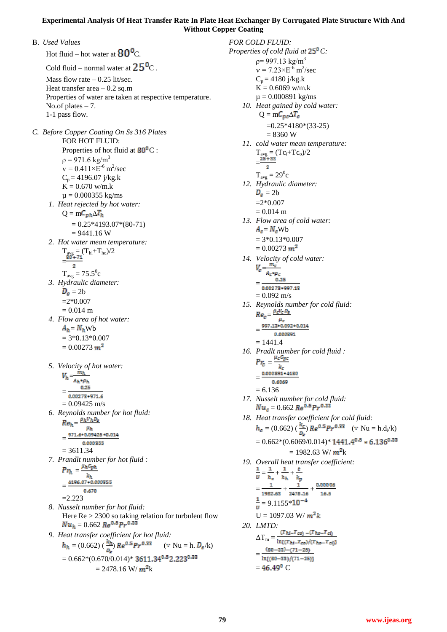## **Experimental Analysis Of Heat Transfer Rate In Plate Heat Exchanger By Corrugated Plate Structure With And Without Copper Coating**

B. *Used Values* Hot fluid – hot water at  $80^{\circ}$ C. Cold fluid – normal water at  $25^{\circ}$ C. Mass flow rate  $-0.25$  lit/sec. Heat transfer area  $-0.2$  sq.m Properties of water are taken at respective temperature. No.of plates – 7. 1-1 pass flow. *C. Before Copper Coating On Ss 316 Plates* FOR HOT FLUID: Properties of hot fluid at  $80^{\circ}$ C :  $p = 971.6$  kg/m<sup>3</sup>  $v = 0.411 \times E^{-6}$  m<sup>2</sup>/sec  $C_p = 4196.07$  j/kg.k  $K = 0.670$  w/m.k  $\mu = 0.000355$  kg/ms *1. Heat rejected by hot water:*  $Q = mC_{ph}\Delta T_h$  $= 0.25*4193.07*(80-71)$  $= 9441.16 W$ *2. Hot water mean temperature:*  $T_{avg} = (T_{hi} + T_{ho})/2$  $\frac{80+71}{2}$  $T_{avg} = 75.5^{\circ}c$ *3. Hydraulic diameter:*  $D_{\rm e} = 2b$  $=2*0.007$  $= 0.014$  m *4. Flow area of hot water:*  $A_h = N_h$ Wb  $= 3*0.13*0.007$  $= 0.00273$   $m^2$ *5. Velocity of hot water:*  $V_h = \frac{m_h}{A_h * \rho_h}$ 0.25 =  $= 0.09425$  m/s *6. Reynolds number for hot fluid:*  $Re_h\!\!=\!\frac{\rho_h v_h p_e}{\rho}$ μь  $\frac{64}{100}$ <br>= 971.6\*0.09425 \*0.014 0.000355  $= 3611.34$ *7. Prandlt number for hot fluid :*  $P\eta_{\text{h}}=\frac{\mu_{\text{h}}c_{ph}}{k_{\text{h}}}$  $=$  $\frac{4196.07*0.000355}{41}$ 0.670  $=2.223$ *8. Nusselt number for hot fluid:* Here  $Re > 2300$  so taking relation for turbulent flow  $Nu_h = 0.662 Re^{0.5} Pr^{0.33}$ *9. Heat transfer coefficient for hot fluid:*  $h_h = (0.662) \left( \frac{k_h}{p_a} \right) Re^{0.5} Pr^{0.33}$  (v Nu = h.  $D_e/k$ )  $= 0.662*(0.670/0.014)*3611.34<sup>0.5</sup>2.223<sup>0.33</sup>$  $= 2478.16$  W/ $m^2$ k

*FOR COLD FLUID: Properties of cold fluid at* 25<sup>°</sup>C:  $ρ = 997.13 kg/m<sup>3</sup>$  $v = 7.23 \times E^{-6} \text{ m}^2/\text{sec}$  $C_p = 4180 \text{ j/kg.k}$  $K = 0.6069$  w/m.k  $\mu = 0.000891 \text{ kg} / \text{ms}$ *10. Heat gained by cold water:*  $Q = mC_{pc}\Delta T_c$  $=0.25*4180*(33-25)$  $= 8360 W$ *11. cold water mean temperature:*  $\underbrace{T_{avg}=(Tc_i+Tc_o)/2}_{\underline{\hspace{1em}\textbf{25+33}}}% =T_{25+3}+T_{25+3}+T_{25+3}+T_{25+3}+T_{25+3}+T_{25+3}+T_{25+3}+T_{25+3}+T_{25+3}+T_{25+3}+T_{25+3}+T_{25+3}+T_{25+3}+T_{25+3}+T_{25+3}+T_{25+3}+T_{25+3}+T_{25+3}+T_{25+3}+T_{25+3}+T_{25+3}+T_{25+3}+T_{25+3$  $\frac{\frac{1}{25}+a}{2}$  $T_{avg} = 29^0c$ *12. Hydraulic diameter:*  $D_{\epsilon} = 2b$  $=2*0.007$  $= 0.014$  m *13. Flow area of cold water:*  $A_c = N_c Wb$  $= 3*0.13*0.007$  $= 0.00273$   $m^2$ *14. Velocity of cold water:*  $V_c = \frac{m_c}{A_c \cdot \rho_c}$  $0.25$  $=\frac{1}{0.00273*997.13}$  $= 0.092$  m/s *15. Reynolds number for cold fluid:*  $Re_c = \frac{\rho_c v_c \, D_c}{\rho_c}$  $\frac{\mu_c}{2}$ =  $\frac{997.13*0.092*0.014}{2}$ 0.000891  $= 1441.4$ *16. Pradlt number for cold fluid :*  $Pr_c = \frac{\mu_c c_{pc}}{k_c}$  $=$  $\frac{0.000891*4180}{0.000891*4180}$ 0.6069  $= 6.136$ *17. Nusselt number for cold fluid:*  $Nu_c = 0.662 Re^{0.5} Pr^{0.32}$ *18. Heat transfer coefficient for cold fluid:*  $= (0.662)$  ( $\frac{N_{\text{e}}}{R}$ )  $Re^{0.5} Pr^{0.33}$  ( $\therefore$  Nu = h.d<sub>i</sub>/k)  $= 0.662*(0.6069/0.014)*1441.4^{0.5} * 6.136^{0.33}$  $= 1982.63$  W/ $m^2k$ *19. Overall heat transfer coefficient:*  $\frac{1}{u} = \frac{1}{h_c} + \frac{1}{h_h} + \frac{t}{k_p}$  $=\frac{1}{1982.63}+\frac{1}{2478.16}+\frac{0.00006}{16.5}$ 16.5  $\frac{1}{u}$  = 9.1155\*10<sup>-4</sup>  $U = 1097.03 W/m^2 k$ *20. LMTD:*  $(T_{hi}-T_{co})-(T_{ho}-T_{ci})$  $\Delta T_{\rm m} = \frac{1}{\ln\{(T_{hi}-T_{co})/(T_{ho}-T_{ci})\}}$  $(80 - 33) - (71 - 25)$  $=\frac{\ln\{(80-33)/(71-25)\}}{1}$  $= 46.49$ <sup>o</sup> C